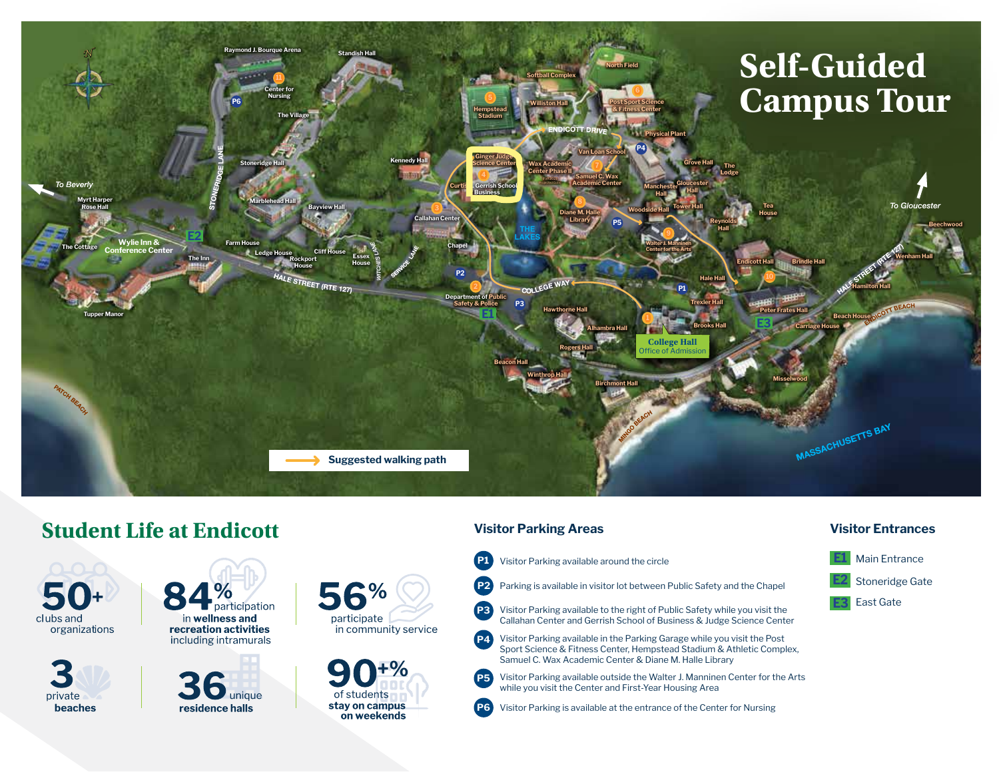

# **Student Life at Endicott**

clubs and organizations



participation in wellness and recreation activities including intramurals







#### **Visitor Parking Areas**

- **P1** Visitor Parking available around the circle
- **P2** Parking is available in visitor lot between Public Safety and the Chapel
- **P3** Visitor Parking available to the right of Public Safety while you visit the Callahan Center and Gerrish School of Business & Judge Science Center
- **P4** Visitor Parking available in the Parking Garage while you visit the Post Sport Science & Fitness Center, Hempstead Stadium & Athletic Complex, Samuel C. Wax Academic Center & Diane M. Halle Library
- **P5** Visitor Parking available outside the Walter J. Manninen Center for the Arts while you visit the Center and First-Year Housing Area
- **P6** Visitor Parking is available at the entrance of the Center for Nursing

#### **Visitor Entrances**